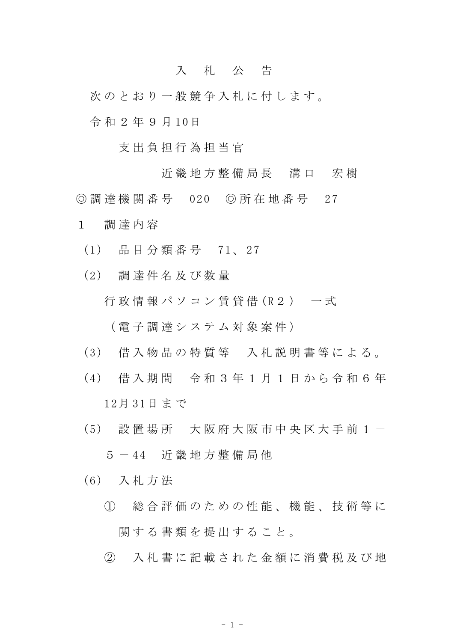## 入 札 公 告

次のとおり一般競争入札に付します。

令 和 2 年 9 月 10日

支 出 負 担 行 為 担 当 官

近 畿 地 方 整 備 局 長 溝 口 宏 樹

◎ 調 達 機 関 番 号 020 ◎ 所 在 地 番 号 27

- 1 調 達 内 容
	- (1) 品 目 分 類 番 号 71、 27
	- (2) 調 達 件 名 及 び 数 量 行政情報パソコン 賃貸借(R2) 一式

( 電 子 調 達 シ ス テ ム 対 象 案 件 )

- (3) 借 入 物 品 の 特 質 等 入 札 説 明 書 等 に よ る 。
- (4) 借 入 期 間 令 和 3 年 1 月 1 日 か ら 令 和 6 年 12月 31日 ま で
- (5) 設 置 場 所 大 阪 府 大 阪 市 中 央 区 大 手 前 1 -5 - 44 近 畿 地 方 整 備 局 他
- (6) 入 札 方 法
	- ① 総 合 評 価 の た め の 性 能 、 機 能 、 技 術 等 に 関する書類を提出すること。
	- ② 入 札 書 に 記 載 さ れ た 金 額 に 消 費 税 及 び 地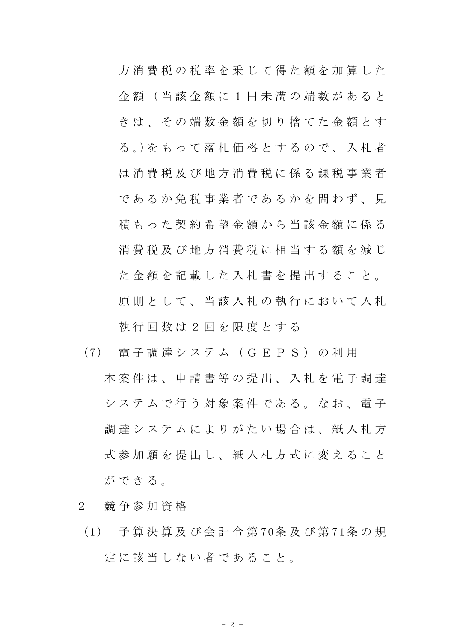方 消 費 税 の 税 率 を 乗 じ て 得 た 額 を 加 算 し た 金 額 ( 当 該 金 額 に 1 円 未 満 の 端 数 が あ る と き は 、 そ の 端 数 金 額 を 切 り 捨 て た 金 額 と す る 。)を も っ て 落 札 価 格 と す る の で 、 入 札 者 は 消 費 税 及 び 地 方 消 費 税 に 係 る 課 税 事 業 者 であるか免税事業者であるかを問わず、見 積 も っ た 契 約 希 望 金 額 か ら 当 該 金 額 に 係 る 消 費 税 及 び 地 方 消 費 税 に 相 当 す る 額 を 減 じ た金額を記載した入札書を提出すること。 原則として、当該入札の執行において入札 執 行 回 数 は 2 回 を 限 度 と す る

- (7) 電 子 調 達 シ ス テ ム ( G E P S ) の 利 用 本 案 件 は 、 申 請 書 等 の 提 出 、 入 札 を 雷 子 調 達 システムで行う対象案件である。なお、電子 調 達 シ ス テ ム に よ り が た い 場 合 は 、 紙 入 札 方 式参加願を提出し、紙入札方式に変えること ができる。
- 2 競 争 参 加 資 格
- (1) 予 算 決 算 及 び 会 計 令 第 70条 及 び 第 71条 の 規 定 に 該 当 し な い 者 で あ る こ と 。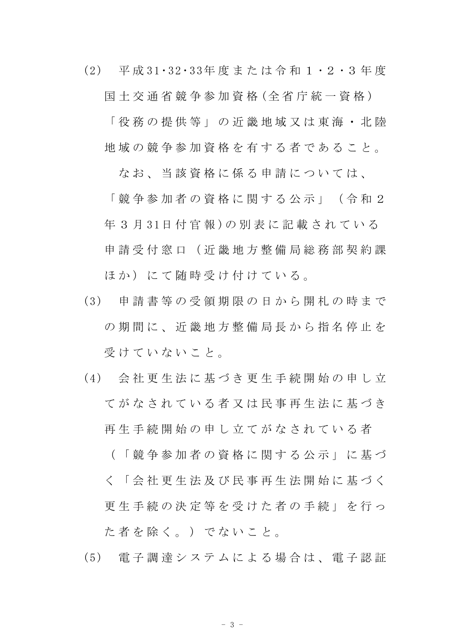(2) 平 成 31・32・33年 度 ま た は 令 和 1 ・2 ・3 年 度

国 土 交 通 省 競 争 参 加 資 格 (全 省 庁 統 一 資 格 )

「 役 務 の 提 供 等 」 の 近 畿 地 域 又 は 東 海 ・ 北 陸 地 域 の 競 争 参 加 資 格 を 有 す る 者 で あ る こ と 。

なお、 当 該 資 格 に 係 る 申 請 に つ い て は、

「 競 争 参 加 者 の 資 格 に 関 す る 公 示 」 ( 令 和 2 年 3 月 31日 付 官 報 )の 別 表 に 記 載 さ れ て い る 申 請 受 付 窓 口 ( 近 畿 地 方 整 備 局 総 務 部 契 約 課 ほか)にて随時受け付けている。

- (3) 申 請 書 等 の 受 領 期 限 の 日 か ら 開 札 の 時 ま で の 期 間 に 、 近 畿 地 方 整 備 局 長 か ら 指 名 停 止 を 受 け て い な い こ と 。
- (4) 会 社 更 生 法 に 基 づ き 更 生 手 続 開 始 の 申 し 立 て が な さ れ て い る 者 又 は 民 事 再 生 法 に 基 づ き 再 生 手 続 開 始 の 申 し 立 て が な さ れ て い る 者 ( 「 競 争 参 加 者 の 資 格 に 関 す る 公 示 」 に 基 づ

く 「 会 社 更 生 法 及 び 民 事 再 生 法 開 始 に 基 づ く 更 生 手 続 の 決 定 等 を 受 け た 者 の 手 続 」 を 行 っ

た 者 を 除 く 。 ) で な い こ と 。

(5) 電 子 調 達 シ ス テ ム に よ る 場 合 は 、 電 子 認 証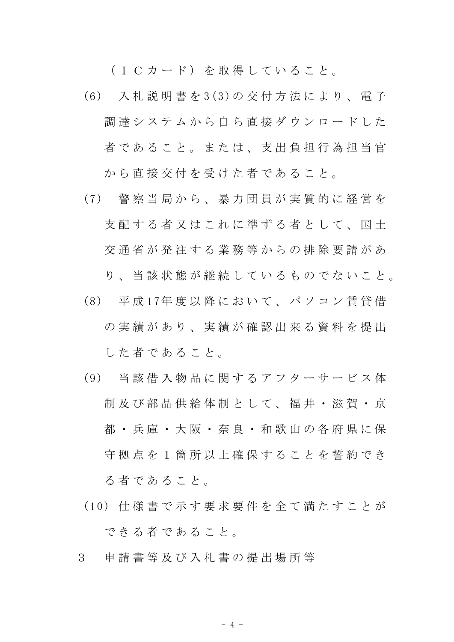(ICカード) を取得していること。

- (6) 入 札 説 明 書 を 3(3)の 交 付 方 法 に よ り 、 電 子 調 達 シ ス テ ム か ら 自 ら 直 接 ダ ウ ン ロ ー ド し た 者であること。または、支出負担行為担当官 から直接交付を受けた者であること。
- (7) 警 察 当 局 か ら 、 暴 力 団 員 が 実 質 的 に 経 営 を 支 配 す る 者 又 は こ れ に 準 ず る 者 と し て 、 国 十 交 通 省 が 発 注 す る 業 務 等 か ら の 排 除 要 請 が あ

り、当 該 状 熊 が 継 続 し て い る も の で な い こ と 。

- (8) 平 成 17年 度 以 降 に お い て 、 パ ソ コ ン 賃 貸 借 の実績があり、実績が確認出来る資料を提出 し た 者 で あ る こ と 。
- (9) 当 該 借 入 物 品 に 関 す る ア フ タ ー サ ー ビ ス 体 制 及 び 部 品 供 給 体 制 と し て 、 福 井 ・ 滋 賀 ・ 京 都 ・ 兵 庫 ・ 大 阪 ・ 奈 良 ・ 和 歌 山 の 各 府 県 に 保 守 拠 点 を 1 箇 所 以 上 確 保 す る こ と を 誓 約 で き る 者 で あ る こ と 。
- (10) 仕 様 書 で 示 す 要 求 要 件 を 全 て 満 た す こ と が で き る 者 で あ る こ と 。
- 3 申 請 書 等 及 び 入 札 書 の 提 出 場 所 等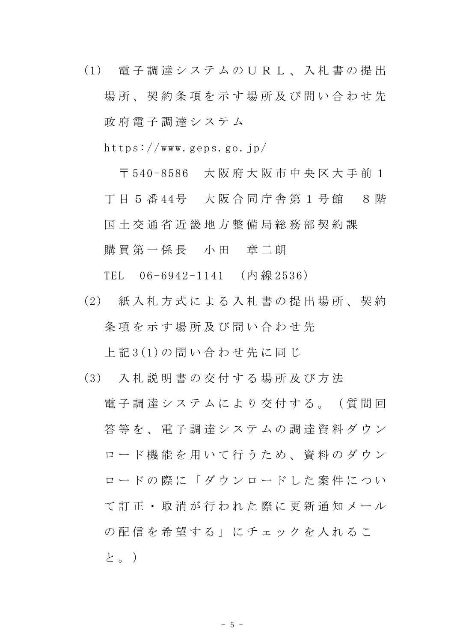(1) 電 子 調 達 シ ス テ ム の U R L 、 入 札 書 の 提 出 場所、契約条項を示す場所及び問い合わせ先 政 府 電 子 調 達 シ ス テ ム

https://www.geps.go.jp/

〒 540-8586 大 阪 府 大 阪 市 中 央 区 大 手 前 1 丁 目 5 番 44号 大 阪 合 同 庁 舎 第 1 号 館 8 階 国 土 交 通 省 近 畿 地 方 整 備 局 総 務 部 契 約 課 購買第一係長 小田 章二朗

TEL 06-6942-1141 (内 線 2536)

(2) 紙 入 札 方 式 に よ る 入 札 書 の 提 出 場 所 、 契 約 条項を示す場所及び問い合わせ先

上 記 3(1)の 問 い 合 わ せ 先 に 同 じ

- (3) 入 札 説 明 書 の 交 付 す る 場 所 及 び 方 法
	- 電 子 調 達 シ ス テ ム に よ り 交 付 す る 。 ( 質 問 回 **答 等 を 、 雷 子 調 達 シ ス テ ム の 調 達 資 料 ダ ウ ン** ロード機能を用いて行うため、資料のダウン ロードの際に「ダウンロードした案件につい て 訂 正 ・ 取 消 が 行 わ れ た 際 に 更 新 通 知 メ ー ル の 配 信 を 希 望 す る 」 に チ ェ ッ ク を 入 れ る こ と。)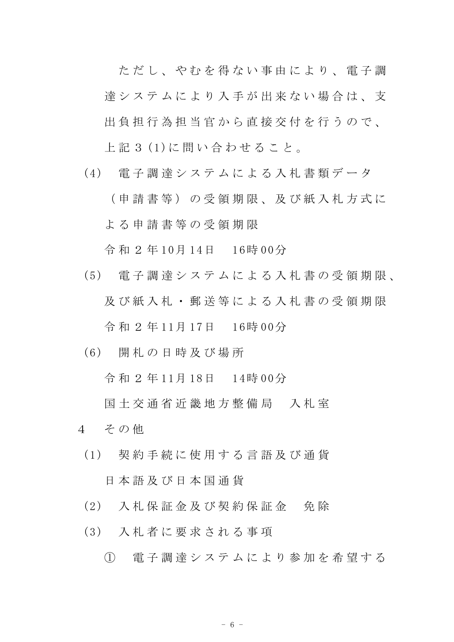ただし、やむを得ない事由により、電子調 達 シ ス テ ム に よ り 入 手 が 出 来 な い 場 合 は 、 支 出 負 担 行 為 担 当 官 か ら 直 接 交 付 を 行 う の で 、 上 記 3 (1)に 問 い 合 わ せ る こ と 。

(4) 電子調達システムによる入札書類データ

( 申 請 書 等 ) の 受 領 期 限 、 及 び 紙 入 札 方 式 に よ る 申 請 書 等 の 受 領 期 限

令 和 2 年 10月 14日 16時 00分

- (5) 電 子 調 達 シ ス テ ム に よ る 入 札 書 の 受 領 期 限 、 及 び 紙 入 札 ・ 郵 送 等 に よ る 入 札 書 の 受 領 期 限 令 和 2 年 11月 17日 16時 00分
- (6) 開 札 の 日 時 及 び 場 所

令 和 2 年 11月 18日 14時 00分

- 国 十 交 通 省 近 畿 地 方 整 備 局 。 入 札 室
- 4 その他
- (1) 契 約 手 続 に 使 用 す る 言 語 及 び 通 貨 日 本 語 及 び 日 本 国 通 貨
- (2) 入 札 保 証 金 及 び 契 約 保 証 金 免 除
- (3) 入 札 者 に 要 求 さ れ る 事 項
	- ① 電 子 調 達 シ ス テ ム に よ り 参 加 を 希 望 す る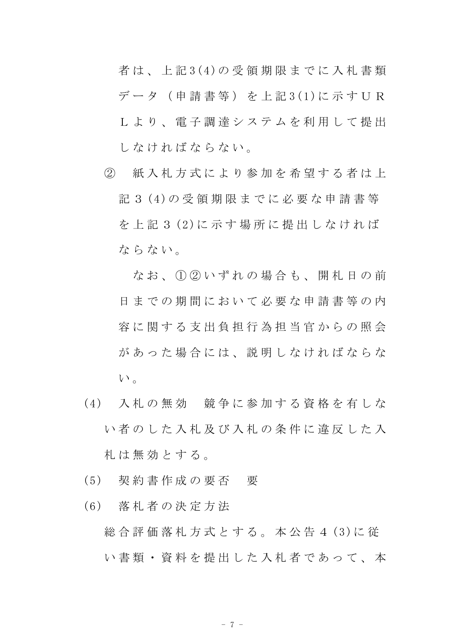者 は 、 上 記 3(4)の 受 領 期 限 ま で に 入 札 書 類 デ ー タ ( 申 請 書 等 ) を 上 記 3(1)に 示 す U R L よ り 、 電 子 調 達 シ ス テ ム を 利 用 し て 提 出 し な け れ ば な ら な い。

② 紙 入 札 方 式 に よ り 参 加 を 希 望 す る 者 は 上 記 3 (4)の 受 領 期 限 ま で に 必 要 な 申 請 書 等 を 上 記 3 (2)に 示 す 場 所 に 提 出 し な け れ ば ならない。

な お 、 ① ② い ず れ の 場 合 も 、 開 札 日 の 前 日までの期間において必要な申請書等の内 容に関する支出負担行為担当官からの照会 があった場合には、説明しなければならな  $V^{\lambda}$ 。

- (4) 入 札 の 無 効 競 争 に 参 加 す る 資 格 を 有 し な い 者 の し た 入 札 及 び 入 札 の 条 件 に 違 反 し た 入 札 は 無 効 と す る 。
- (5) 契 約 書 作 成 の 要 否 要
- (6) 落 札 者 の 決 定 方 法
	- 総合評価落札方式とする。本公告4(3)に従 い書類·資料を提出した入札者であって、本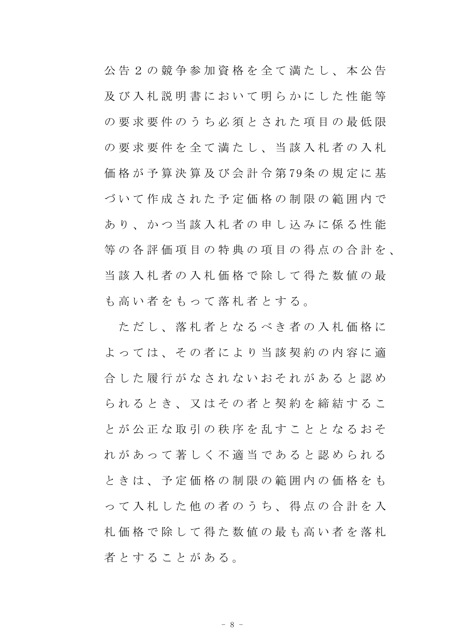公 告 2 の 競 争 参 加 資 格 を 全 て 満 た し 、 本 公 告 及 び 入 札 説 明 書 に お い て 明 ら か に し た 性 能 等 の要求要件のうち必須とされた項目の最低限 の 要 求 要 件 を 全 て 満 た し 、 当 該 入 札 者 の 入 札 価 格 が 予 算 決 算 及 び 会 計 令 第 79条 の 規 定 に 基 づ い て 作 成 さ れ た 予 定 価 格 の 制 限 の 範 囲 内 で あり、かつ当該入札者の申し込みに係る性能 等 の 各 評 価 項 目 の 特 典 の 項 目 の 得 点 の 合 計 を 、 当 該 入 札 者 の 入 札 価 格 で 除 し て 得 た 数 値 の 最 も 高 い 者 を も っ て 落 札 者 と す る 。

ただし、落札者となるべき者の入札価格に よ っ て は 、 そ の 者 に よ り 当 該 契 約 の 内 容 に 適 合 した 履 行 が な さ れ な い お そ れ が あ る と 認 め ら れ る と き 、 又 は そ の 者 と 契 約 を 締 結 す る こ と が 公 正 な 取 引 の 秩 序 を 乱 す こ と と な る お そ れ が あ っ て 著 し く 不 適 当 で あ る と 認 め ら れ る と き は 、 予 定 価 格 の 制 限 の 範 囲 内 の 価 格 を も っ て 入 札 し た 他 の 者 の う ち 、 得 点 の 合 計 を 入 札 価 格 で 除 し て 得 た 数 値 の 最 も 高 い 者 を 落 札 者とすることがある。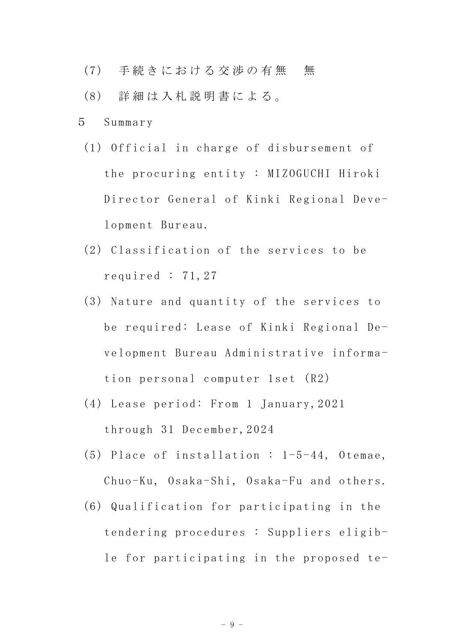- (7) 手続きにおける交渉の有無 無
- (8) 詳 細 は 入 札 説 明 書 に よ る 。
- 5 Summary
	- (1) Official in charge of disbursement of the procuring entity : MIZOGUCHI Hiroki Director General of Kinki Regional Development Bureau.
	- (2) Classification of the services to be required : 71,27
	- (3) Nature and quantity of the services to be required: Lease of Kinki Regional Development Bureau Administrative information personal computer 1set (R2)
	- (4) Lease period: From 1 January,2021 through 31 December,2024
	- (5) Place of installation : 1-5-44, Otemae, Chuo-Ku, Osaka-Shi, Osaka-Fu and others.
	- (6) Qualification for participating in the tendering procedures : Suppliers eligible for participating in the proposed te-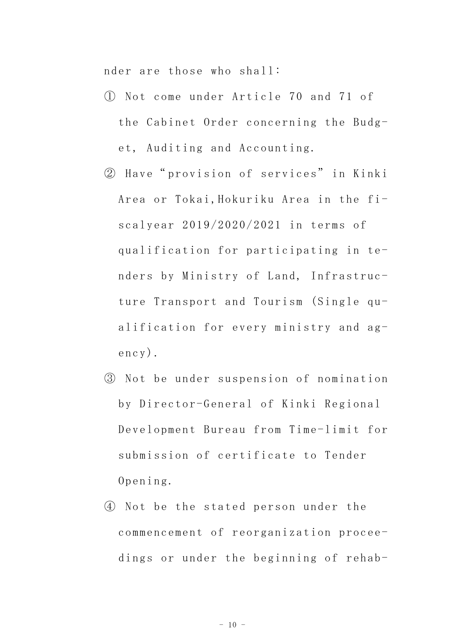nder are those who shall:

- ① Not come under Article 70 and 71 of the Cabinet Order concerning the Budget, Auditing and Accounting.
- ② Have" provision of services" in Kinki Area or Tokai,Hokuriku Area in the fiscalyear 2019/2020/2021 in terms of qualification for participating in tenders by Ministry of Land, Infrastructure Transport and Tourism (Single qualification for every ministry and agency).
- ③ Not be under suspension of nomination by Director-General of Kinki Regional Development Bureau from Time-limit for submission of certificate to Tender Opening.
- ④ Not be the stated person under the commencement of reorganization proceedings or under the beginning of rehab-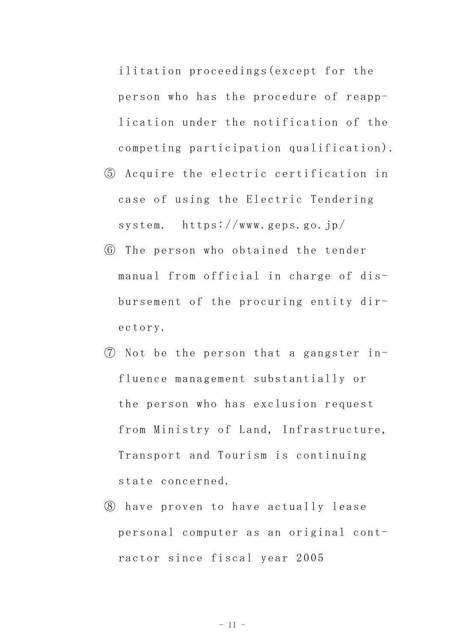ilitation proceedings(except for the person who has the procedure of reapplication under the notification of the competing participation qualification).

- ⑤ Acquire the electric certification in case of using the Electric Tendering system. https://www.geps.go.jp/
- ⑥ The person who obtained the tender manual from official in charge of disbursement of the procuring entity directory.
- ⑦ Not be the person that a gangster influence management substantially or the person who has exclusion request from Ministry of Land, Infrastructure, Transport and Tourism is continuing state concerned.
- ⑧ have proven to have actually lease personal computer as an original contractor since fiscal year 2005

 $-11 -$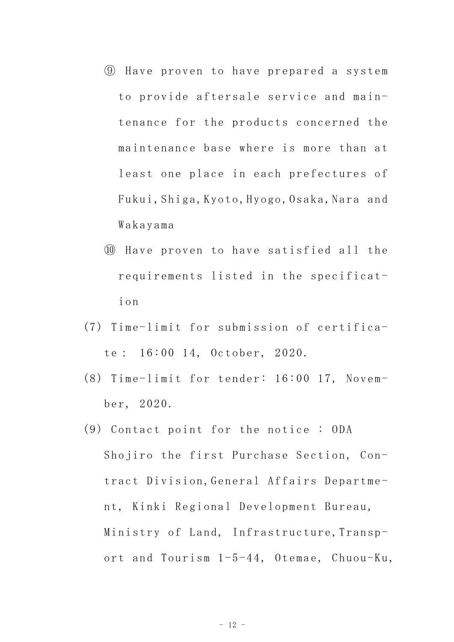- ⑨ Have proven to have prepared a system to provide aftersale service and maintenance for the products concerned the maintenance base where is more than at least one place in each prefectures of Fukui,Shiga,Kyoto,Hyogo,Osaka,Nara and Wakayama
- ⑩ Have proven to have satisfied all the requirements listed in the specification
- (7) Time-limit for submission of certificate: 16:00 14, October, 2020.
- (8) Time-limit for tender: 16:00 17, November, 2020.
- (9) Contact point for the notice : ODA Shojiro the first Purchase Section, Contract Division,General Affairs Department, Kinki Regional Development Bureau, Ministry of Land, Infrastructure, Transport and Tourism 1-5-44, Otemae, Chuou-Ku,